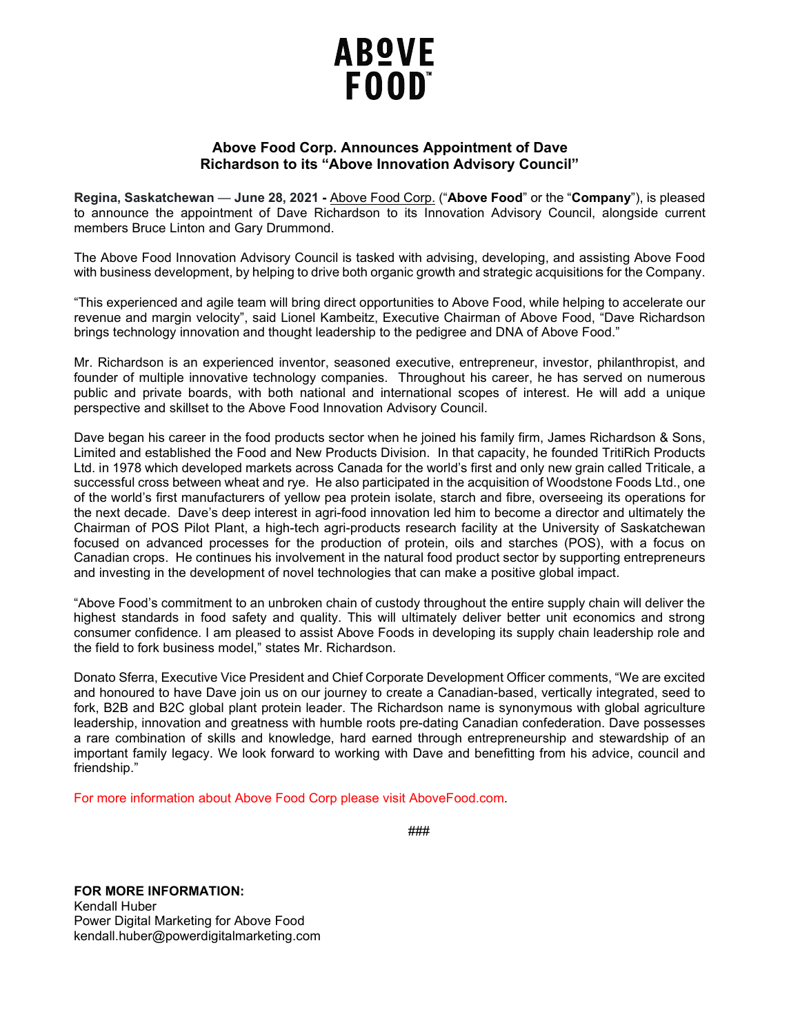

## **Above Food Corp. Announces Appointment of Dave Richardson to its "Above Innovation Advisory Council"**

**Regina, Saskatchewan** — **June 28, 2021 -** [Above Food Corp.](https://abovefood.com/) ("**Above Food**" or the "**Company**"), is pleased to announce the appointment of Dave Richardson to its Innovation Advisory Council, alongside current members Bruce Linton and Gary Drummond.

The Above Food Innovation Advisory Council is tasked with advising, developing, and assisting Above Food with business development, by helping to drive both organic growth and strategic acquisitions for the Company.

"This experienced and agile team will bring direct opportunities to Above Food, while helping to accelerate our revenue and margin velocity", said Lionel Kambeitz, Executive Chairman of Above Food, "Dave Richardson brings technology innovation and thought leadership to the pedigree and DNA of Above Food."

Mr. Richardson is an experienced inventor, seasoned executive, entrepreneur, investor, philanthropist, and founder of multiple innovative technology companies. Throughout his career, he has served on numerous public and private boards, with both national and international scopes of interest. He will add a unique perspective and skillset to the Above Food Innovation Advisory Council.

Dave began his career in the food products sector when he joined his family firm, James Richardson & Sons, Limited and established the Food and New Products Division. In that capacity, he founded TritiRich Products Ltd. in 1978 which developed markets across Canada for the world's first and only new grain called Triticale, a successful cross between wheat and rye. He also participated in the acquisition of Woodstone Foods Ltd., one of the world's first manufacturers of yellow pea protein isolate, starch and fibre, overseeing its operations for the next decade. Dave's deep interest in agri-food innovation led him to become a director and ultimately the Chairman of POS Pilot Plant, a high-tech agri-products research facility at the University of Saskatchewan focused on advanced processes for the production of protein, oils and starches (POS), with a focus on Canadian crops. He continues his involvement in the natural food product sector by supporting entrepreneurs and investing in the development of novel technologies that can make a positive global impact.

"Above Food's commitment to an unbroken chain of custody throughout the entire supply chain will deliver the highest standards in food safety and quality. This will ultimately deliver better unit economics and strong consumer confidence. I am pleased to assist Above Foods in developing its supply chain leadership role and the field to fork business model," states Mr. Richardson.

Donato Sferra, Executive Vice President and Chief Corporate Development Officer comments, "We are excited and honoured to have Dave join us on our journey to create a Canadian-based, vertically integrated, seed to fork, B2B and B2C global plant protein leader. The Richardson name is synonymous with global agriculture leadership, innovation and greatness with humble roots pre-dating Canadian confederation. Dave possesses a rare combination of skills and knowledge, hard earned through entrepreneurship and stewardship of an important family legacy. We look forward to working with Dave and benefitting from his advice, council and friendship."

For more information about Above Food Corp please visit AboveFood.com.

###